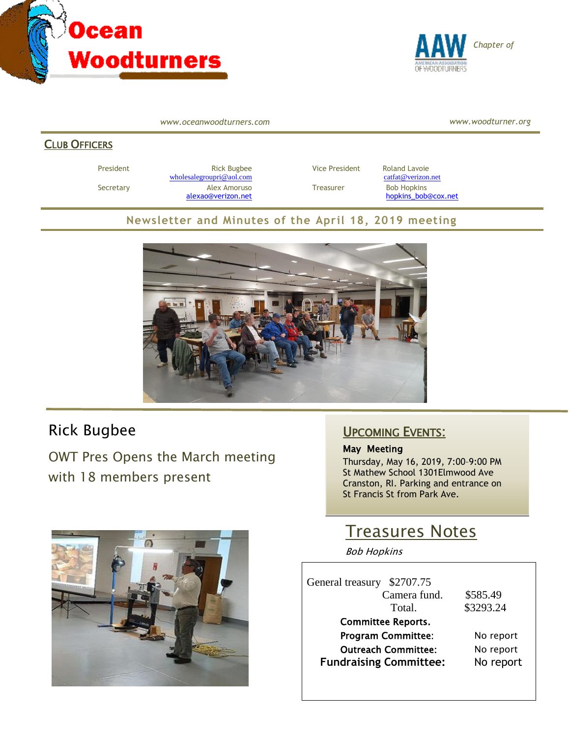



*www.oceanwoodturners.com*

*www.woodturner.org*

#### **CLUB OFFICERS**

President **Rick Bugbee Rick Bugbee Vice President** Roland Lavoie [wholesalegroupri@aol.com](mailto:wholesalegroupri@aol.com) [catfat@verizon.net](mailto:catfat@verizon.net) Secretary **Alex Amoruso** Treasurer Bob Hopkins

[alexao@verizon.net](mailto:alexao@verizon.net) [hopkins\\_bob@cox.net](mailto:hopkins_bob@cox.net)

### **Newsletter and Minutes of the April 18, 2019 meeting**



# Rick Bugbee

OWT Pres Opens the March meeting with 18 members present



## UPCOMING EVENTS:

#### May Meeting

Thursday, May 16, 2019, 7:00–9:00 PM St Mathew School 1301Elmwood Ave Cranston, RI. Parking and entrance on St Francis St from Park Ave.

# Treasures Notes

Bob Hopkins

| \$2707.75<br>General treasury |           |
|-------------------------------|-----------|
| Camera fund.                  | \$585.49  |
| Total.                        | \$3293.24 |
| <b>Committee Reports.</b>     |           |
| <b>Program Committee:</b>     | No report |
| <b>Outreach Committee:</b>    | No report |
| <b>Fundraising Committee:</b> | No report |
|                               |           |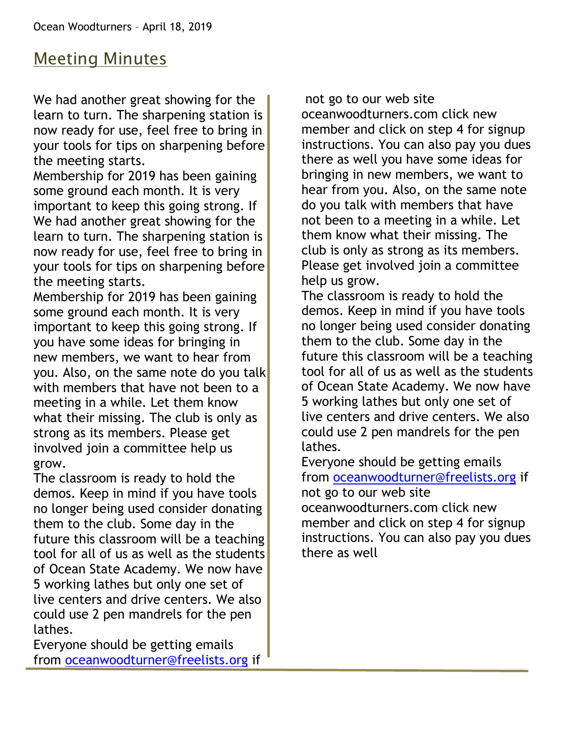# Meeting Minutes

We had another great showing for the learn to turn. The sharpening station is now ready for use, feel free to bring in your tools for tips on sharpening before the meeting starts.

Membership for 2019 has been gaining some ground each month. It is very important to keep this going strong. If We had another great showing for the learn to turn. The sharpening station is now ready for use, feel free to bring in your tools for tips on sharpening before the meeting starts.

Membership for 2019 has been gaining some ground each month. It is very important to keep this going strong. If you have some ideas for bringing in new members, we want to hear from you. Also, on the same note do you talk with members that have not been to a meeting in a while. Let them know what their missing. The club is only as strong as its members. Please get involved join a committee help us grow.

The classroom is ready to hold the demos. Keep in mind if you have tools no longer being used consider donating them to the club. Some day in the future this classroom will be a teaching tool for all of us as well as the students of Ocean State Academy. We now have 5 working lathes but only one set of live centers and drive centers. We also could use 2 pen mandrels for the pen lathes.

Everyone should be getting emails from [oceanwoodturner@freelists.org](mailto:oceanwoodturner@freelists.org) if

not go to our web site oceanwoodturners.com click new member and click on step 4 for signup instructions. You can also pay you dues there as well you have some ideas for bringing in new members, we want to hear from you. Also, on the same note do you talk with members that have not been to a meeting in a while. Let them know what their missing. The club is only as strong as its members. Please get involved join a committee help us grow.

The classroom is ready to hold the demos. Keep in mind if you have tools no longer being used consider donating them to the club. Some day in the future this classroom will be a teaching tool for all of us as well as the students of Ocean State Academy. We now have 5 working lathes but only one set of live centers and drive centers. We also could use 2 pen mandrels for the pen lathes.

Everyone should be getting emails from [oceanwoodturner@freelists.org](mailto:oceanwoodturner@freelists.org) if not go to our web site oceanwoodturners.com click new member and click on step 4 for signup instructions. You can also pay you dues there as well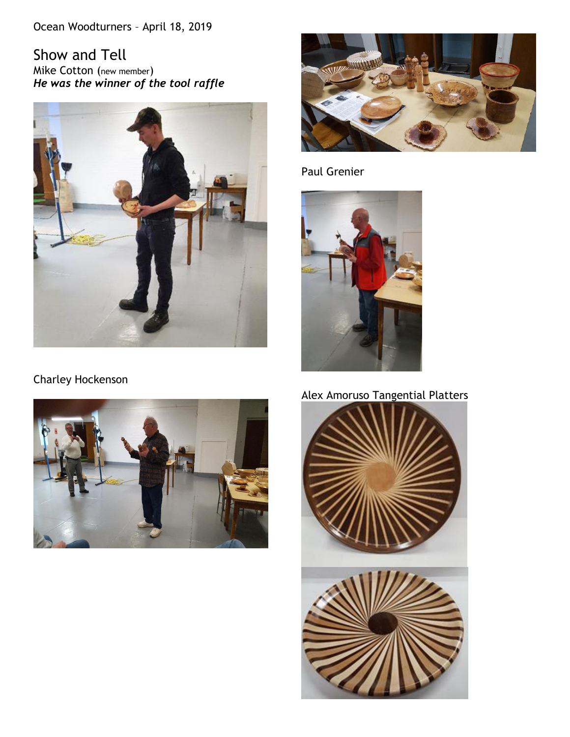Ocean Woodturners – April 18, 2019

Show and Tell Mike Cotton (new member) *He was the winner of the tool raffle* 



Charley Hockenson





Paul Grenier



# Alex Amoruso Tangential Platters